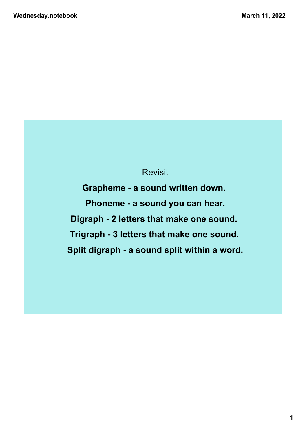#### Revisit

**Grapheme - a sound written down. Phoneme a sound you can hear. Digraph 2 letters that make one sound. Trigraph 3 letters that make one sound.**  Split digraph - a sound split within a word.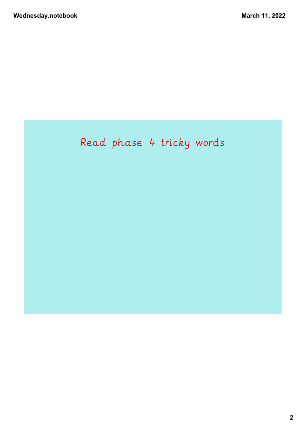#### Read phase 4 tricky words

**2**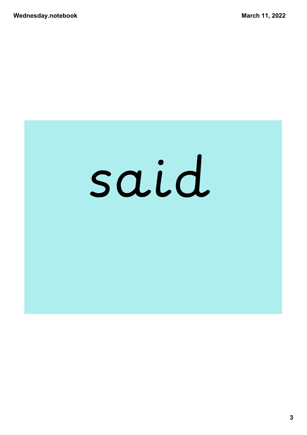## said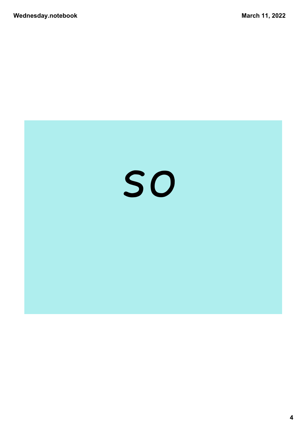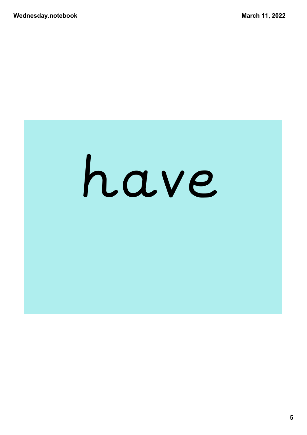## have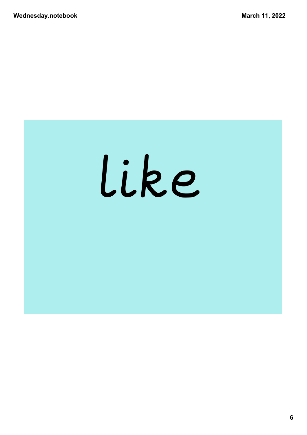### Like.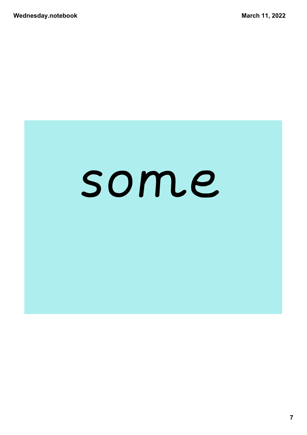### some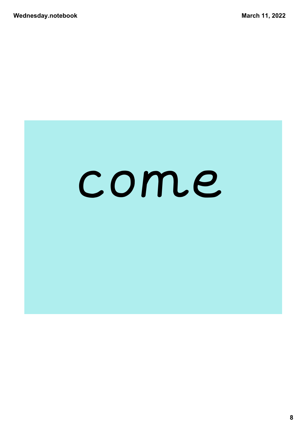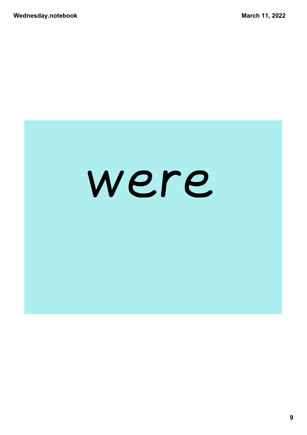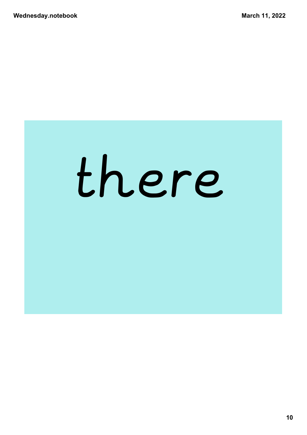## there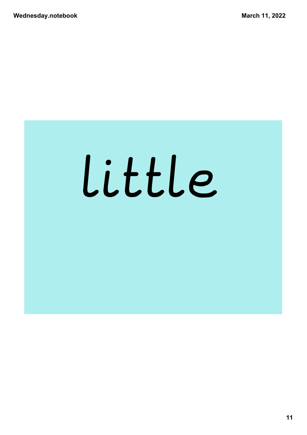### little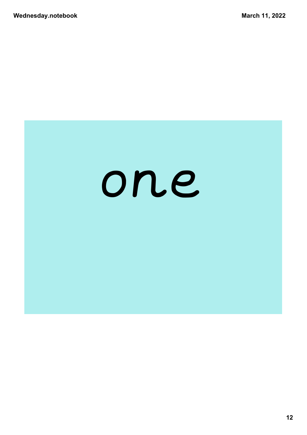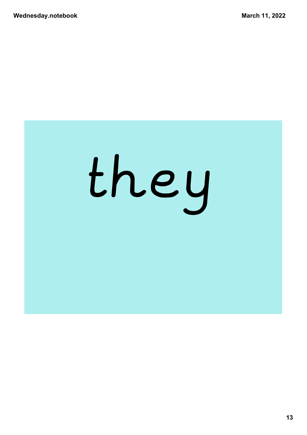# they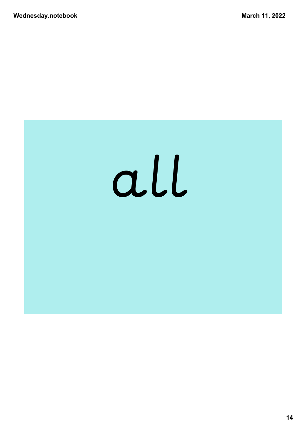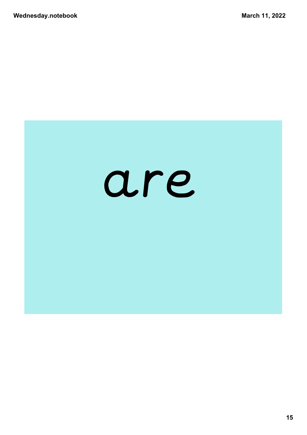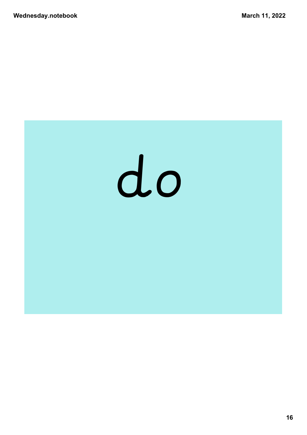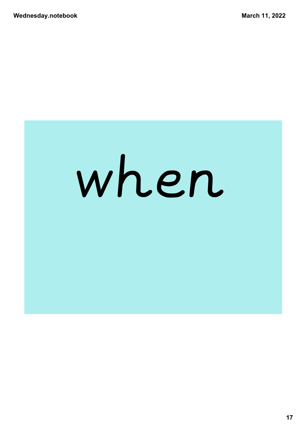## when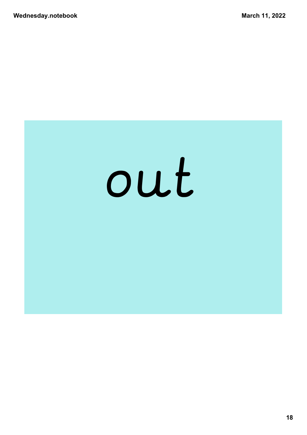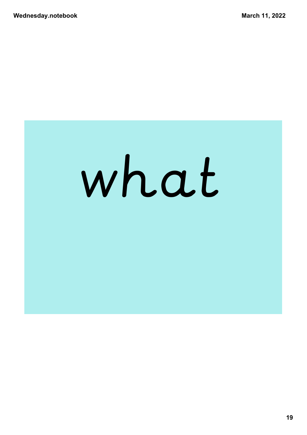## what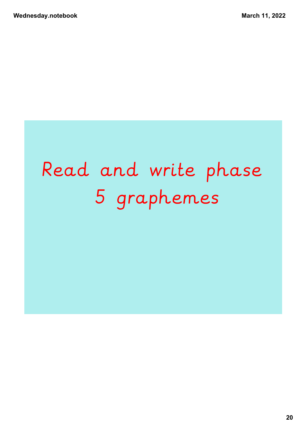#### Read and write phase 5 graphemes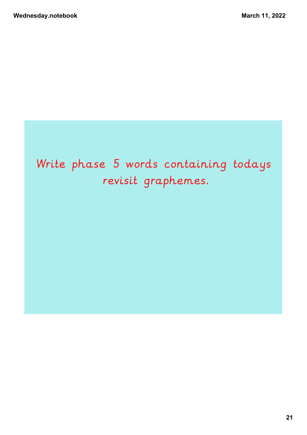#### Write phase 5 words containing todays revisit graphemes.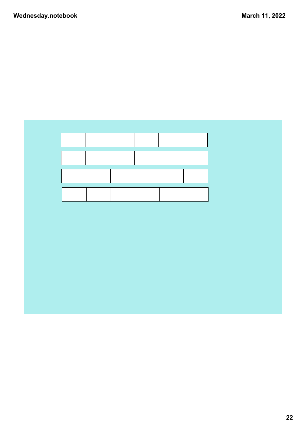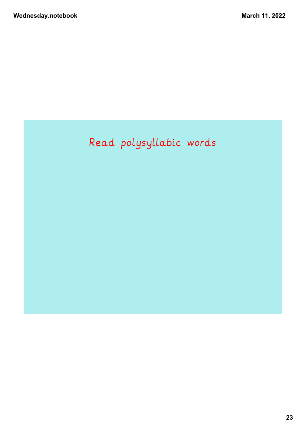#### Read polysyllabic words

**23**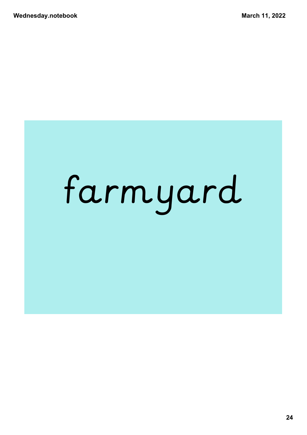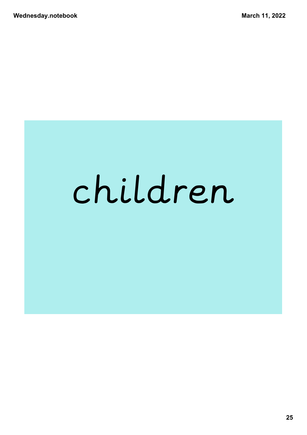### children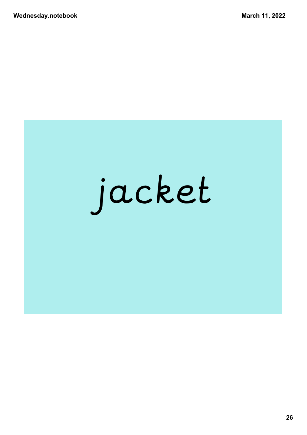### jacket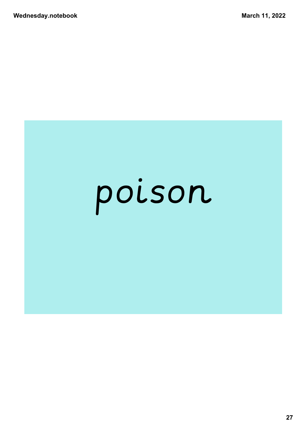## poison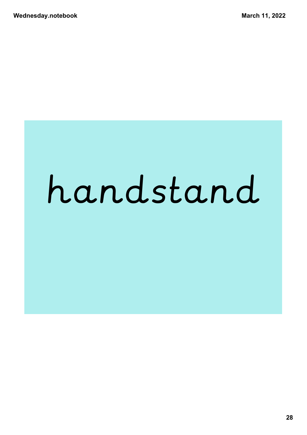### handstand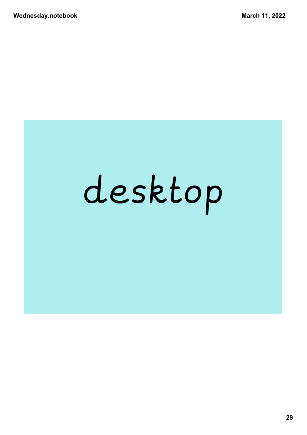### desktop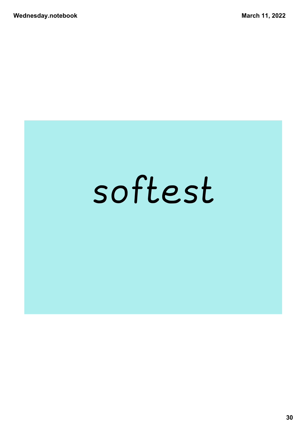### softest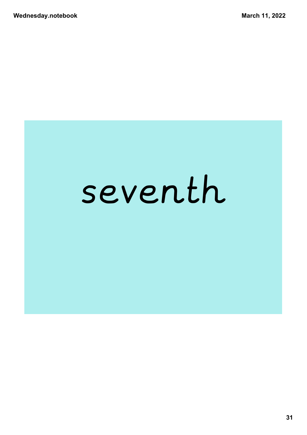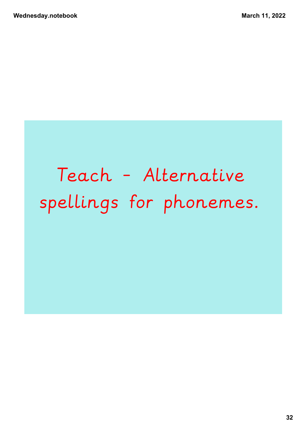#### Teach - Alternative spellings for phonemes.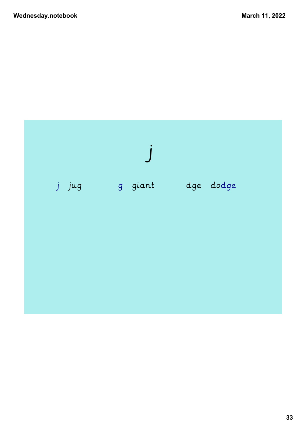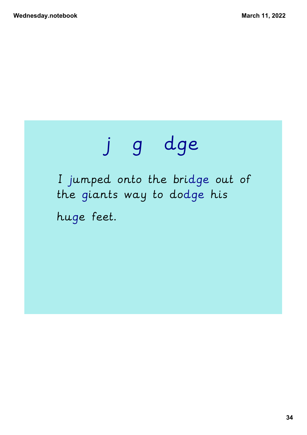#### j g dge

I jumped onto the bridge out of the giants way to dodge his huge feet.